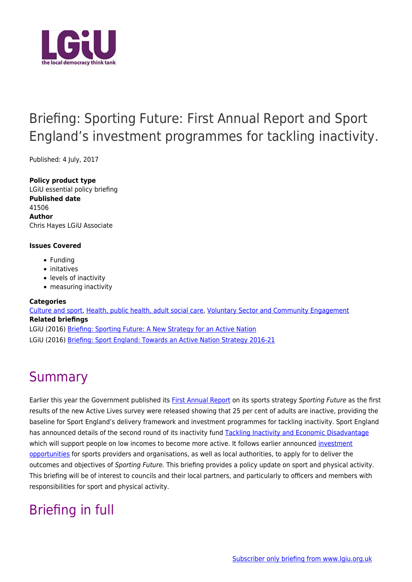

# Briefing: Sporting Future: First Annual Report and Sport England's investment programmes for tackling inactivity.

Published: 4 July, 2017

**Policy product type** LGiU essential policy briefing **Published date** 41506 **Author** Chris Hayes LGiU Associate

#### **Issues Covered**

- Funding
- initatives
- levels of inactivity
- measuring inactivity

#### **Categories**

[Culture and sport](http://www.lgiu.org.uk/category/culture-and-sport/), [Health, public health, adult social care,](http://www.lgiu.org.uk/category/health-public-health-adult-social-care/) [Voluntary Sector and Community Engagement](http://www.lgiu.org.uk/category/voluntary-sector-and-community-engagement/) **Related briefings** LGiU (2016) [Briefing: Sporting Future: A New Strategy for an Active Nation](http://www.lgiu.org.uk/briefing/sporting-future-a-new-strategy-for-an-active-nation/) LGiU (2016) [Briefing: Sport England: Towards an Active Nation Strategy 2016-21](http://www.lgiu.org.uk/briefing/briefing-sport-england-towards-an-active-nation-strategy-2016-21/)

# **Summary**

Earlier this year the Government published its [First Annual Report](https://www.gov.uk/government/publications/sporting-future-first-annual-report) on its sports strategy Sporting Future as the first results of the new Active Lives survey were released showing that 25 per cent of adults are inactive, providing the baseline for Sport England's delivery framework and investment programmes for tackling inactivity. Sport England has announced details of the second round of its inactivity fund [Tackling Inactivity and Economic Disadvantage](https://www.sportengland.org/news-and-features/news/2017/february/28/focus-on-tackling-inactivity-and-economic-disadvantage/) which will support people on low incomes to become more active. It follows earlier announced [investment](https://www.sportengland.org/funding/funding-key-dates/) [opportunities](https://www.sportengland.org/funding/funding-key-dates/) for sports providers and organisations, as well as local authorities, to apply for to deliver the outcomes and objectives of Sporting Future. This briefing provides a policy update on sport and physical activity. This briefing will be of interest to councils and their local partners, and particularly to officers and members with responsibilities for sport and physical activity.

# Briefing in full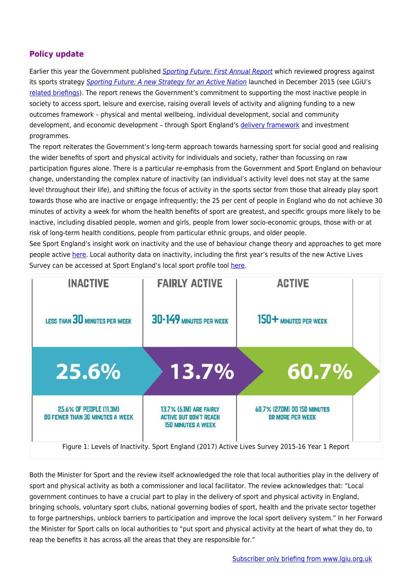## **Policy update**

Earlier this year the Government published [Sporting Future: First Annual Report](https://www.gov.uk/government/publications/sporting-future-first-annual-report) which reviewed progress against its sports strategy [Sporting Future: A new Strategy for an Active Nation](https://www.gov.uk/government/publications/sporting-future-a-new-strategy-for-an-active-nation) launched in December 2015 (see LGiU's [related briefings\)](http://www.lgiu.org.uk/briefing/sporting-future-a-new-strategy-for-an-active-nation/). The report renews the Government's commitment to supporting the most inactive people in society to access sport, leisure and exercise, raising overall levels of activity and aligning funding to a new outcomes framework – physical and mental wellbeing, individual development, social and community development, and economic development – through Sport England's [delivery framework](https://www.sportengland.org/our-work/partnering-local-government/delivery-framework/) and investment programmes.

The report reiterates the Government's long-term approach towards harnessing sport for social good and realising the wider benefits of sport and physical activity for individuals and society, rather than focussing on raw participation figures alone. There is a particular re-emphasis from the Government and Sport England on behaviour change, understanding the complex nature of inactivity (an individual's activity level does not stay at the same level throughout their life), and shifting the focus of activity in the sports sector from those that already play sport towards those who are inactive or engage infrequently; the 25 per cent of people in England who do not achieve 30 minutes of activity a week for whom the health benefits of sport are greatest, and specific groups more likely to be inactive, including disabled people, women and girls, people from lower socio-economic groups, those with or at risk of long-term health conditions, people from particular ethnic groups, and older people.

See Sport England's insight work on inactivity and the use of behaviour change theory and approaches to get more people active [here](https://www.sportengland.org/our-work/health-and-inactivity/tackling-inactivity-essential-insight/). Local authority data on inactivity, including the first year's results of the new Active Lives Survey can be accessed at Sport England's local sport profile tool [here.](https://www.sportengland.org/our-work/partnering-local-government/tools-directory/local-sport-profile-tool/)



Both the Minister for Sport and the review itself acknowledged the role that local authorities play in the delivery of sport and physical activity as both a commissioner and local facilitator. The review acknowledges that: "Local government continues to have a crucial part to play in the delivery of sport and physical activity in England, bringing schools, voluntary sport clubs, national governing bodies of sport, health and the private sector together to forge partnerships, unblock barriers to participation and improve the local sport delivery system." In her Forward the Minister for Sport calls on local authorities to "put sport and physical activity at the heart of what they do, to reap the benefits it has across all the areas that they are responsible for."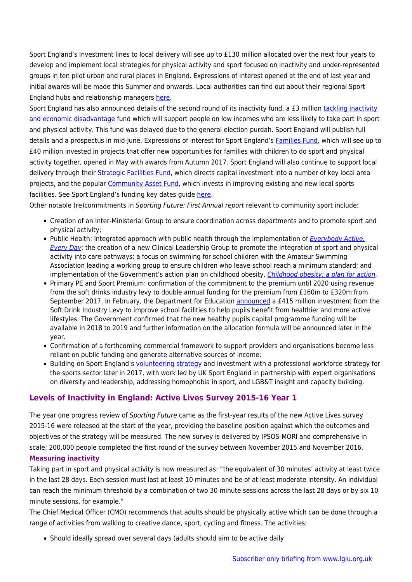Sport England's investment lines to local delivery will see up to £130 million allocated over the next four years to develop and implement local strategies for physical activity and sport focused on inactivity and under-represented groups in ten pilot urban and rural places in England. Expressions of interest opened at the end of last year and initial awards will be made this Summer and onwards. Local authorities can find out about their regional Sport England hubs and relationship managers [here.](https://www.sportengland.org/about-us/corporate-information/local-teams/)

Sport England has also announced details of the second round of its inactivity fund, a £3 million [tackling inactivity](https://www.sportengland.org/news-and-features/news/2017/february/28/focus-on-tackling-inactivity-and-economic-disadvantage/) [and economic disadvantage](https://www.sportengland.org/news-and-features/news/2017/february/28/focus-on-tackling-inactivity-and-economic-disadvantage/) fund which will support people on low incomes who are less likely to take part in sport and physical activity. This fund was delayed due to the general election purdah. Sport England will publish full details and a prospectus in mid-June. Expressions of interest for Sport England's [Families Fund](https://www.sportengland.org/news-and-features/news/2017/march/20/focus-on-children-and-young-people/), which will see up to £40 million invested in projects that offer new opportunities for families with children to do sport and physical activity together, opened in May with awards from Autumn 2017. Sport England will also continue to support local delivery through their [Strategic Facilities Fund,](https://www.sportengland.org/funding/strategic-facilities/) which directs capital investment into a number of key local area projects, and the popular [Community Asset Fund](https://www.sportengland.org/funding/community-asset-fund/), which invests in improving existing and new local sports facilities. See Sport England's funding key dates guide [here.](https://www.sportengland.org/funding/funding-key-dates/)

Other notable (re)commitments in Sporting Future: First Annual report relevant to community sport include:

- Creation of an Inter-Ministerial Group to ensure coordination across departments and to promote sport and physical activity;
- Public Health: Integrated approach with public health through the implementation of [Everybody Active,](https://www.gov.uk/government/publications/everybody-active-every-day-2-year-update) [Every Day](https://www.gov.uk/government/publications/everybody-active-every-day-2-year-update); the creation of a new Clinical Leadership Group to promote the integration of sport and physical activity into care pathways; a focus on swimming for school children with the Amateur Swimming Association leading a working group to ensure children who leave school reach a minimum standard; and implementation of the Government's action plan on childhood obesity, [Childhood obesity: a plan for action.](https://www.gov.uk/government/publications/childhood-obesity-a-plan-for-action)
- Primary PE and Sport Premium: confirmation of the commitment to the premium until 2020 using revenue from the soft drinks industry levy to double annual funding for the premium from £160m to £320m from September 2017. In February, the Department for Education [announced](https://www.gov.uk/government/news/new-funding-to-boost-schools-facilities-and-healthy-lifestyles) a £415 million investment from the Soft Drink Industry Levy to improve school facilities to help pupils benefit from healthier and more active lifestyles. The Government confirmed that the new healthy pupils capital programme funding will be available in 2018 to 2019 and further information on the allocation formula will be announced later in the year.
- Confirmation of a forthcoming commercial framework to support providers and organisations become less reliant on public funding and generate alternative sources of income;
- Building on Sport England's [volunteering strategy](https://www.sportengland.org/news-and-features/news/2016/december/1/new-volunteering-strategy-published/) and investment with a professional workforce strategy for the sports sector later in 2017, with work led by UK Sport England in partnership with expert organisations on diversity and leadership, addressing homophobia in sport, and LGB&T insight and capacity building.

### **Levels of Inactivity in England: Active Lives Survey 2015-16 Year 1**

The year one progress review of Sporting Future came as the first-year results of the new Active Lives survey 2015-16 were released at the start of the year, providing the baseline position against which the outcomes and objectives of the strategy will be measured. The new survey is delivered by IPSOS-MORI and comprehensive in scale; 200,000 people completed the first round of the survey between November 2015 and November 2016.

#### **Measuring inactivity**

Taking part in sport and physical activity is now measured as: "the equivalent of 30 minutes' activity at least twice in the last 28 days. Each session must last at least 10 minutes and be of at least moderate intensity. An individual can reach the minimum threshold by a combination of two 30 minute sessions across the last 28 days or by six 10 minute sessions, for example."

The Chief Medical Officer (CMO) recommends that adults should be physically active which can be done through a range of activities from walking to creative dance, sport, cycling and fitness. The activities:

• Should ideally spread over several days (adults should aim to be active daily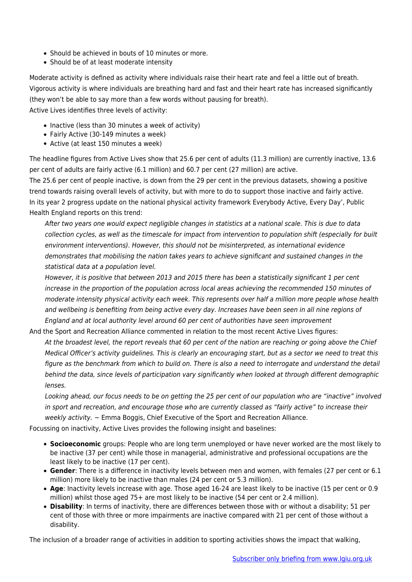- Should be achieved in bouts of 10 minutes or more.
- Should be of at least moderate intensity

Moderate activity is defined as activity where individuals raise their heart rate and feel a little out of breath. Vigorous activity is where individuals are breathing hard and fast and their heart rate has increased significantly (they won't be able to say more than a few words without pausing for breath). Active Lives identifies three levels of activity:

- Inactive (less than 30 minutes a week of activity)
- Fairly Active (30-149 minutes a week)
- Active (at least 150 minutes a week)

The headline figures from Active Lives show that 25.6 per cent of adults (11.3 million) are currently inactive, 13.6 per cent of adults are fairly active (6.1 million) and 60.7 per cent (27 million) are active.

The 25.6 per cent of people inactive, is down from the 29 per cent in the previous datasets, showing a positive trend towards raising overall levels of activity, but with more to do to support those inactive and fairly active. In its year 2 progress update on the national physical activity framework Everybody Active, Every Day', Public Health England reports on this trend:

After two years one would expect negligible changes in statistics at a national scale. This is due to data collection cycles, as well as the timescale for impact from intervention to population shift (especially for built environment interventions). However, this should not be misinterpreted, as international evidence demonstrates that mobilising the nation takes years to achieve significant and sustained changes in the statistical data at a population level.

However, it is positive that between 2013 and 2015 there has been a statistically significant 1 per cent increase in the proportion of the population across local areas achieving the recommended 150 minutes of moderate intensity physical activity each week. This represents over half a million more people whose health and wellbeing is benefiting from being active every day. Increases have been seen in all nine regions of England and at local authority level around 60 per cent of authorities have seen improvement

And the Sport and Recreation Alliance commented in relation to the most recent Active Lives figures: At the broadest level, the report reveals that 60 per cent of the nation are reaching or going above the Chief Medical Officer's activity guidelines. This is clearly an encouraging start, but as a sector we need to treat this figure as the benchmark from which to build on. There is also a need to interrogate and understand the detail behind the data, since levels of participation vary significantly when looked at through different demographic lenses.

Looking ahead, our focus needs to be on getting the 25 per cent of our population who are "inactive" involved in sport and recreation, and encourage those who are currently classed as "fairly active" to increase their weekly activity.  $\sim$  Emma Boggis, Chief Executive of the Sport and Recreation Alliance.

Focussing on inactivity, Active Lives provides the following insight and baselines:

- **Socioeconomic** groups: People who are long term unemployed or have never worked are the most likely to be inactive (37 per cent) while those in managerial, administrative and professional occupations are the least likely to be inactive (17 per cent).
- **Gender**: There is a difference in inactivity levels between men and women, with females (27 per cent or 6.1 million) more likely to be inactive than males (24 per cent or 5.3 million).
- **Age**: Inactivity levels increase with age. Those aged 16-24 are least likely to be inactive (15 per cent or 0.9 million) whilst those aged 75+ are most likely to be inactive (54 per cent or 2.4 million).
- **Disability**: In terms of inactivity, there are differences between those with or without a disability; 51 per cent of those with three or more impairments are inactive compared with 21 per cent of those without a disability.

The inclusion of a broader range of activities in addition to sporting activities shows the impact that walking,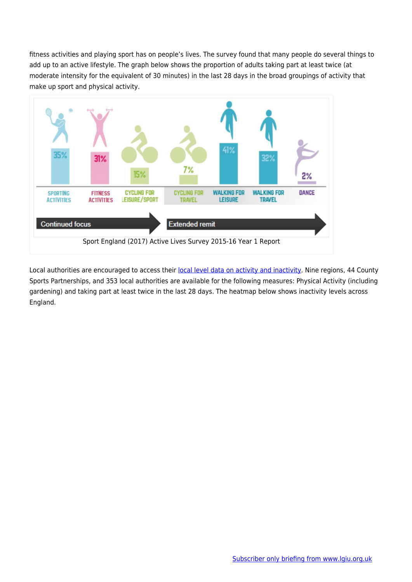fitness activities and playing sport has on people's lives. The survey found that many people do several things to add up to an active lifestyle. The graph below shows the proportion of adults taking part at least twice (at moderate intensity for the equivalent of 30 minutes) in the last 28 days in the broad groupings of activity that make up sport and physical activity.



Local authorities are encouraged to access their [local level data on activity and inactivity](https://www.sportengland.org/our-work/partnering-local-government/tools-directory/local-sport-profile-tool/). Nine regions, 44 County Sports Partnerships, and 353 local authorities are available for the following measures: Physical Activity (including gardening) and taking part at least twice in the last 28 days. The heatmap below shows inactivity levels across England.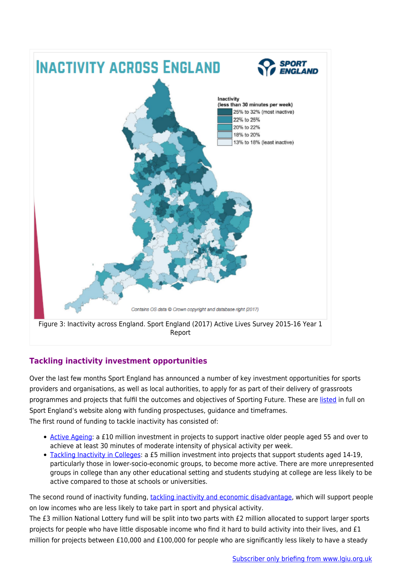

## **Tackling inactivity investment opportunities**

Over the last few months Sport England has announced a number of key investment opportunities for sports providers and organisations, as well as local authorities, to apply for as part of their delivery of grassroots programmes and projects that fulfil the outcomes and objectives of Sporting Future. These are [listed](https://www.sportengland.org/funding/funding-key-dates/) in full on Sport England's website along with funding prospectuses, guidance and timeframes. The first round of funding to tackle inactivity has consisted of:

- [Active Ageing](https://www.sportengland.org/funding/active-ageing-fund/): a £10 million investment in projects to support inactive older people aged 55 and over to achieve at least 30 minutes of moderate intensity of physical activity per week.
- [Tackling Inactivity in Colleges](https://www.sportengland.org/funding/tackling-inactivity-in-colleges/): a £5 million investment into projects that support students aged 14-19, particularly those in lower-socio-economic groups, to become more active. There are more unrepresented groups in college than any other educational setting and students studying at college are less likely to be active compared to those at schools or universities.

The second round of inactivity funding, [tackling inactivity and economic disadvantage,](https://www.sportengland.org/news-and-features/news/2017/february/28/focus-on-tackling-inactivity-and-economic-disadvantage/) which will support people on low incomes who are less likely to take part in sport and physical activity.

The £3 million National Lottery fund will be split into two parts with £2 million allocated to support larger sports projects for people who have little disposable income who find it hard to build activity into their lives, and £1 million for projects between £10,000 and £100,000 for people who are significantly less likely to have a steady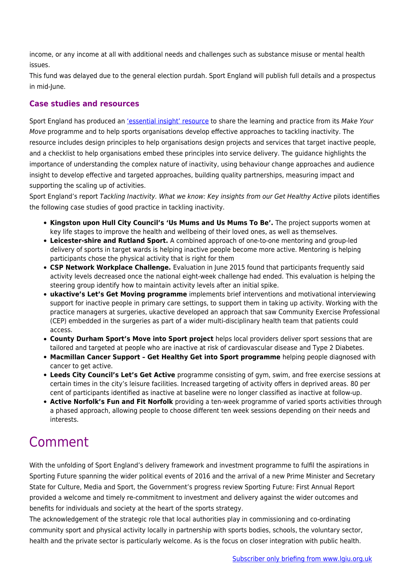income, or any income at all with additional needs and challenges such as substance misuse or mental health issues.

This fund was delayed due to the general election purdah. Sport England will publish full details and a prospectus in mid-June.

### **Case studies and resources**

Sport England has produced an ['essential insight' resource](https://www.sportengland.org/our-work/health-and-inactivity/tackling-inactivity-essential-insight/) to share the learning and practice from its Make Your Move programme and to help sports organisations develop effective approaches to tackling inactivity. The resource includes design principles to help organisations design projects and services that target inactive people, and a checklist to help organisations embed these principles into service delivery. The guidance highlights the importance of understanding the complex nature of inactivity, using behaviour change approaches and audience insight to develop effective and targeted approaches, building quality partnerships, measuring impact and supporting the scaling up of activities.

Sport England's report Tackling Inactivity. What we know: Key insights from our Get Healthy Active pilots identifies the following case studies of good practice in tackling inactivity.

- **Kingston upon Hull City Council's 'Us Mums and Us Mums To Be'.** The project supports women at key life stages to improve the health and wellbeing of their loved ones, as well as themselves.
- **Leicester-shire and Rutland Sport.** A combined approach of one-to-one mentoring and group-led delivery of sports in target wards is helping inactive people become more active. Mentoring is helping participants chose the physical activity that is right for them
- **CSP Network Workplace Challenge.** Evaluation in June 2015 found that participants frequently said activity levels decreased once the national eight-week challenge had ended. This evaluation is helping the steering group identify how to maintain activity levels after an initial spike.
- **ukactive's Let's Get Moving programme** implements brief interventions and motivational interviewing support for inactive people in primary care settings, to support them in taking up activity. Working with the practice managers at surgeries, ukactive developed an approach that saw Community Exercise Professional (CEP) embedded in the surgeries as part of a wider multi-disciplinary health team that patients could access.
- **County Durham Sport's Move into Sport project** helps local providers deliver sport sessions that are tailored and targeted at people who are inactive at risk of cardiovascular disease and Type 2 Diabetes.
- **Macmillan Cancer Support Get Healthy Get into Sport programme** helping people diagnosed with cancer to get active.
- **Leeds City Council's Let's Get Active** programme consisting of gym, swim, and free exercise sessions at certain times in the city's leisure facilities. Increased targeting of activity offers in deprived areas. 80 per cent of participants identified as inactive at baseline were no longer classified as inactive at follow-up.
- **Active Norfolk's Fun and Fit Norfolk** providing a ten-week programme of varied sports activities through a phased approach, allowing people to choose different ten week sessions depending on their needs and interests.

# Comment

With the unfolding of Sport England's delivery framework and investment programme to fulfil the aspirations in Sporting Future spanning the wider political events of 2016 and the arrival of a new Prime Minister and Secretary State for Culture, Media and Sport, the Government's progress review Sporting Future: First Annual Report provided a welcome and timely re-commitment to investment and delivery against the wider outcomes and benefits for individuals and society at the heart of the sports strategy.

The acknowledgement of the strategic role that local authorities play in commissioning and co-ordinating community sport and physical activity locally in partnership with sports bodies, schools, the voluntary sector, health and the private sector is particularly welcome. As is the focus on closer integration with public health.